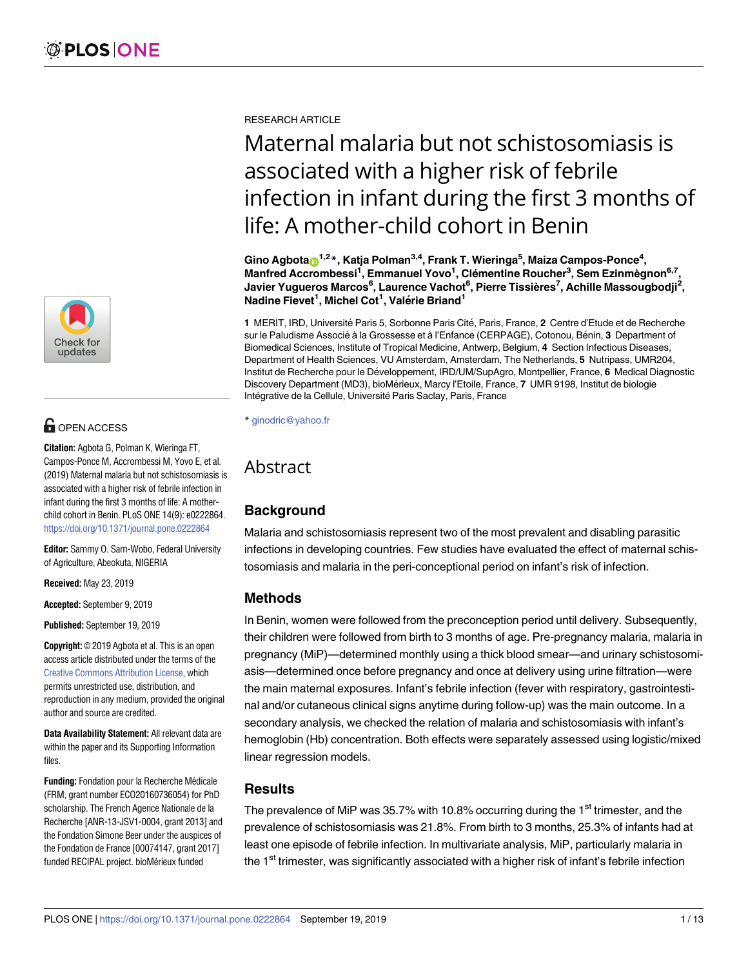

## **OPEN ACCESS**

**Citation:** Agbota G, Polman K, Wieringa FT, Campos-Ponce M, Accrombessi M, Yovo E, et al. (2019) Maternal malaria but not schistosomiasis is associated with a higher risk of febrile infection in infant during the first 3 months of life: A motherchild cohort in Benin. PLoS ONE 14(9): e0222864. <https://doi.org/10.1371/journal.pone.0222864>

**Editor:** Sammy O. Sam-Wobo, Federal University of Agriculture, Abeokuta, NIGERIA

**Received:** May 23, 2019

**Accepted:** September 9, 2019

**Published:** September 19, 2019

**Copyright:** © 2019 Agbota et al. This is an open access article distributed under the terms of the Creative Commons [Attribution](http://creativecommons.org/licenses/by/4.0/) License, which permits unrestricted use, distribution, and reproduction in any medium, provided the original author and source are credited.

**Data Availability Statement:** All relevant data are within the paper and its Supporting Information files.

**Funding:** Fondation pour la Recherche Médicale (FRM, grant number ECO20160736054) for PhD scholarship. The French Agence Nationale de la Recherche [ANR-13-JSV1-0004, grant 2013] and the Fondation Simone Beer under the auspices of the Fondation de France [00074147, grant 2017] funded RECIPAL project. bioMérieux funded

RESEARCH ARTICLE

# Maternal malaria but not schistosomiasis is associated with a higher risk of febrile infection in infant during the first 3 months of life: A mother-child cohort in Benin

 $\boldsymbol{\mathsf{Gino\text{-}Agbota}}_{\boldsymbol{\mathsf{D}}}^{\boldsymbol{1},2\,\boldsymbol{*}},$  Katja Polman $^{3,4}$ , Frank T. Wieringa $^5$ , Maiza Campos-Ponce $^4$ , **Manfred Accrombessi1 , Emmanuel Yovo1 , Cle´mentine Roucher3 , Sem Ezinmègnon6,7, Javier Yugueros Marcos6 , Laurence Vachot6 , Pierre Tissières7 , Achille Massougbodji2 , Nadine Fievet1 , Michel Cot<sup>1</sup> , Vale´rie Briand1**

1 MERIT, IRD, Université Paris 5, Sorbonne Paris Cité, Paris, France, 2 Centre d'Etude et de Recherche sur le Paludisme Associé à la Grossesse et à l'Enfance (CERPAGE), Cotonou, Bénin, 3 Department of Biomedical Sciences, Institute of Tropical Medicine, Antwerp, Belgium, **4** Section Infectious Diseases, Department of Health Sciences, VU Amsterdam, Amsterdam, The Netherlands, **5** Nutripass, UMR204, Institut de Recherche pour le Développement, IRD/UM/SupAgro, Montpellier, France, 6 Medical Diagnostic Discovery Department (MD3), bioMérieux, Marcy l'Etoile, France, 7 UMR 9198, Institut de biologie Intégrative de la Cellule, Université Paris Saclay, Paris, France

\* ginodric@yahoo.fr

## Abstract

## **Background**

Malaria and schistosomiasis represent two of the most prevalent and disabling parasitic infections in developing countries. Few studies have evaluated the effect of maternal schistosomiasis and malaria in the peri-conceptional period on infant's risk of infection.

## **Methods**

In Benin, women were followed from the preconception period until delivery. Subsequently, their children were followed from birth to 3 months of age. Pre-pregnancy malaria, malaria in pregnancy (MiP)—determined monthly using a thick blood smear—and urinary schistosomiasis—determined once before pregnancy and once at delivery using urine filtration—were the main maternal exposures. Infant's febrile infection (fever with respiratory, gastrointestinal and/or cutaneous clinical signs anytime during follow-up) was the main outcome. In a secondary analysis, we checked the relation of malaria and schistosomiasis with infant's hemoglobin (Hb) concentration. Both effects were separately assessed using logistic/mixed linear regression models.

## **Results**

The prevalence of MiP was 35.7% with 10.8% occurring during the 1<sup>st</sup> trimester, and the prevalence of schistosomiasis was 21.8%. From birth to 3 months, 25.3% of infants had at least one episode of febrile infection. In multivariate analysis, MiP, particularly malaria in the 1<sup>st</sup> trimester, was significantly associated with a higher risk of infant's febrile infection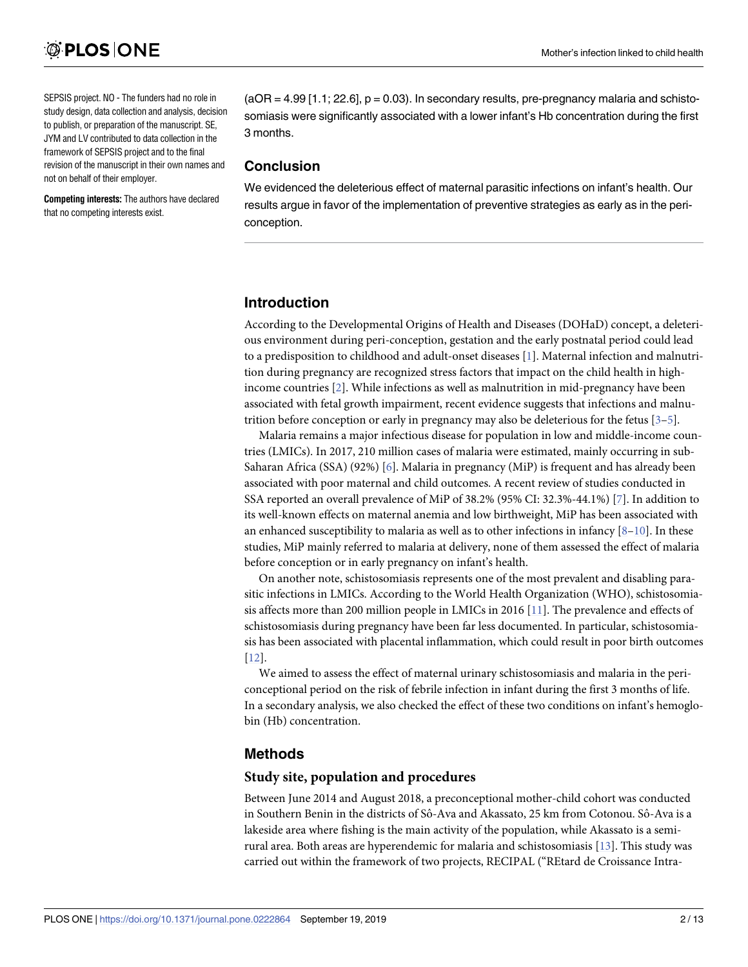<span id="page-1-0"></span>SEPSIS project. NO - The funders had no role in study design, data collection and analysis, decision to publish, or preparation of the manuscript. SE, JYM and LV contributed to data collection in the framework of SEPSIS project and to the final revision of the manuscript in their own names and not on behalf of their employer.

**Competing interests:** The authors have declared that no competing interests exist.

 $(aOR = 4.99$  [1.1; 22.6],  $p = 0.03$ ). In secondary results, pre-pregnancy malaria and schistosomiasis were significantly associated with a lower infant's Hb concentration during the first 3 months.

#### **Conclusion**

We evidenced the deleterious effect of maternal parasitic infections on infant's health. Our results argue in favor of the implementation of preventive strategies as early as in the periconception.

#### **Introduction**

According to the Developmental Origins of Health and Diseases (DOHaD) concept, a deleterious environment during peri-conception, gestation and the early postnatal period could lead to a predisposition to childhood and adult-onset diseases [\[1\]](#page-10-0). Maternal infection and malnutrition during pregnancy are recognized stress factors that impact on the child health in highincome countries [[2\]](#page-10-0). While infections as well as malnutrition in mid-pregnancy have been associated with fetal growth impairment, recent evidence suggests that infections and malnutrition before conception or early in pregnancy may also be deleterious for the fetus [\[3–5](#page-10-0)].

Malaria remains a major infectious disease for population in low and middle-income countries (LMICs). In 2017, 210 million cases of malaria were estimated, mainly occurring in sub-Saharan Africa (SSA) (92%) [\[6\]](#page-10-0). Malaria in pregnancy (MiP) is frequent and has already been associated with poor maternal and child outcomes. A recent review of studies conducted in SSA reported an overall prevalence of MiP of 38.2% (95% CI: 32.3%-44.1%) [[7\]](#page-10-0). In addition to its well-known effects on maternal anemia and low birthweight, MiP has been associated with an enhanced susceptibility to malaria as well as to other infections in infancy  $[8-10]$  $[8-10]$  $[8-10]$ . In these studies, MiP mainly referred to malaria at delivery, none of them assessed the effect of malaria before conception or in early pregnancy on infant's health.

On another note, schistosomiasis represents one of the most prevalent and disabling parasitic infections in LMICs. According to the World Health Organization (WHO), schistosomiasis affects more than 200 million people in LMICs in 2016 [[11](#page-11-0)]. The prevalence and effects of schistosomiasis during pregnancy have been far less documented. In particular, schistosomiasis has been associated with placental inflammation, which could result in poor birth outcomes [\[12\]](#page-11-0).

We aimed to assess the effect of maternal urinary schistosomiasis and malaria in the periconceptional period on the risk of febrile infection in infant during the first 3 months of life. In a secondary analysis, we also checked the effect of these two conditions on infant's hemoglobin (Hb) concentration.

#### **Methods**

#### **Study site, population and procedures**

Between June 2014 and August 2018, a preconceptional mother-child cohort was conducted in Southern Benin in the districts of Sô-Ava and Akassato, 25 km from Cotonou. Sô-Ava is a lakeside area where fishing is the main activity of the population, while Akassato is a semirural area. Both areas are hyperendemic for malaria and schistosomiasis [[13](#page-11-0)]. This study was carried out within the framework of two projects, RECIPAL ("REtard de Croissance Intra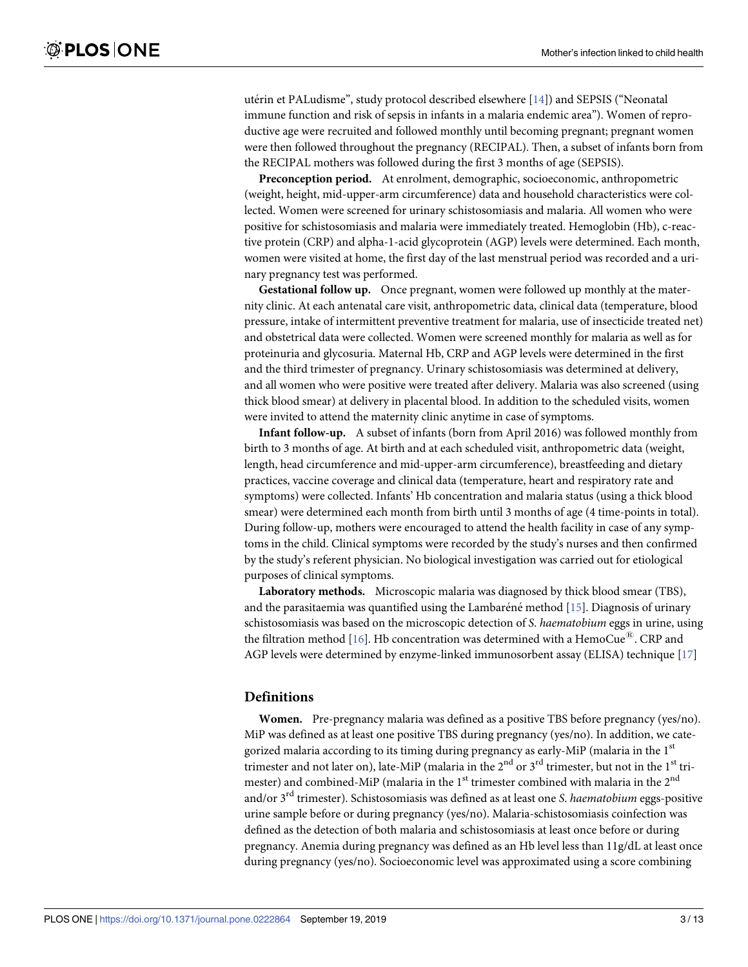<span id="page-2-0"></span>utérin et PALudisme", study protocol described elsewhere [\[14\]](#page-11-0)) and SEPSIS ("Neonatal immune function and risk of sepsis in infants in a malaria endemic area"). Women of reproductive age were recruited and followed monthly until becoming pregnant; pregnant women were then followed throughout the pregnancy (RECIPAL). Then, a subset of infants born from the RECIPAL mothers was followed during the first 3 months of age (SEPSIS).

**Preconception period.** At enrolment, demographic, socioeconomic, anthropometric (weight, height, mid-upper-arm circumference) data and household characteristics were collected. Women were screened for urinary schistosomiasis and malaria. All women who were positive for schistosomiasis and malaria were immediately treated. Hemoglobin (Hb), c-reactive protein (CRP) and alpha-1-acid glycoprotein (AGP) levels were determined. Each month, women were visited at home, the first day of the last menstrual period was recorded and a urinary pregnancy test was performed.

**Gestational follow up.** Once pregnant, women were followed up monthly at the maternity clinic. At each antenatal care visit, anthropometric data, clinical data (temperature, blood pressure, intake of intermittent preventive treatment for malaria, use of insecticide treated net) and obstetrical data were collected. Women were screened monthly for malaria as well as for proteinuria and glycosuria. Maternal Hb, CRP and AGP levels were determined in the first and the third trimester of pregnancy. Urinary schistosomiasis was determined at delivery, and all women who were positive were treated after delivery. Malaria was also screened (using thick blood smear) at delivery in placental blood. In addition to the scheduled visits, women were invited to attend the maternity clinic anytime in case of symptoms.

**Infant follow-up.** A subset of infants (born from April 2016) was followed monthly from birth to 3 months of age. At birth and at each scheduled visit, anthropometric data (weight, length, head circumference and mid-upper-arm circumference), breastfeeding and dietary practices, vaccine coverage and clinical data (temperature, heart and respiratory rate and symptoms) were collected. Infants' Hb concentration and malaria status (using a thick blood smear) were determined each month from birth until 3 months of age (4 time-points in total). During follow-up, mothers were encouraged to attend the health facility in case of any symptoms in the child. Clinical symptoms were recorded by the study's nurses and then confirmed by the study's referent physician. No biological investigation was carried out for etiological purposes of clinical symptoms.

**Laboratory methods.** Microscopic malaria was diagnosed by thick blood smear (TBS), and the parasitaemia was quantified using the Lambaréné method  $[15]$  $[15]$  $[15]$ . Diagnosis of urinary schistosomiasis was based on the microscopic detection of *S*. *haematobium* eggs in urine, using the filtration method [[16](#page-11-0)]. Hb concentration was determined with a HemoCue<sup>®</sup>. CRP and AGP levels were determined by enzyme-linked immunosorbent assay (ELISA) technique [\[17\]](#page-11-0)

#### **Definitions**

**Women.** Pre-pregnancy malaria was defined as a positive TBS before pregnancy (yes/no). MiP was defined as at least one positive TBS during pregnancy (yes/no). In addition, we categorized malaria according to its timing during pregnancy as early-MiP (malaria in the  $1<sup>st</sup>$ trimester and not later on), late-MiP (malaria in the  $2<sup>nd</sup>$  or  $3<sup>rd</sup>$  trimester, but not in the  $1<sup>st</sup>$  trimester) and combined-MiP (malaria in the  $1<sup>st</sup>$  trimester combined with malaria in the  $2<sup>nd</sup>$ and/or 3rd trimester). Schistosomiasis was defined as at least one *S*. *haematobium* eggs-positive urine sample before or during pregnancy (yes/no). Malaria-schistosomiasis coinfection was defined as the detection of both malaria and schistosomiasis at least once before or during pregnancy. Anemia during pregnancy was defined as an Hb level less than 11g/dL at least once during pregnancy (yes/no). Socioeconomic level was approximated using a score combining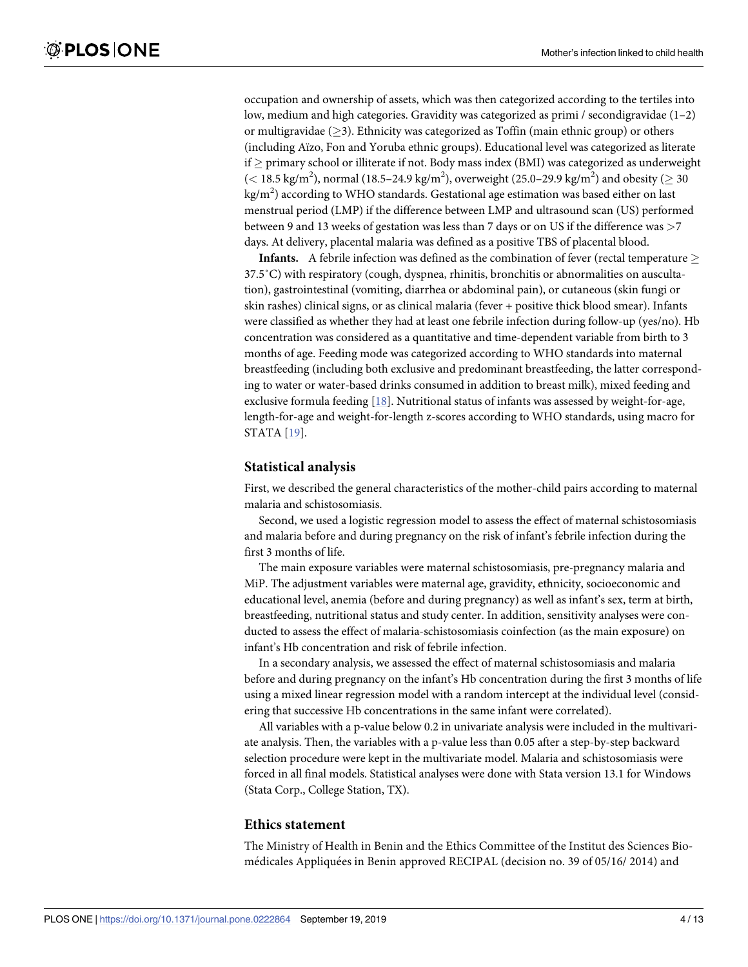<span id="page-3-0"></span>occupation and ownership of assets, which was then categorized according to the tertiles into low, medium and high categories. Gravidity was categorized as primi / secondigravidae (1–2) or multigravidae ( $\geq$ 3). Ethnicity was categorized as Toffin (main ethnic group) or others (including Aïzo, Fon and Yoruba ethnic groups). Educational level was categorized as literate  $if$  > primary school or illiterate if not. Body mass index (BMI) was categorized as underweight (< 18.5 kg/m<sup>2</sup>), normal (18.5–24.9 kg/m<sup>2</sup>), overweight (25.0–29.9 kg/m<sup>2</sup>) and obesity ( $\geq$  30  $\text{kg/m}^2$ ) according to WHO standards. Gestational age estimation was based either on last menstrual period (LMP) if the difference between LMP and ultrasound scan (US) performed between 9 and 13 weeks of gestation was less than 7 days or on US if the difference was *>*7 days. At delivery, placental malaria was defined as a positive TBS of placental blood.

**Infants.** A febrile infection was defined as the combination of fever (rectal temperature  $\geq$ 37.5˚C) with respiratory (cough, dyspnea, rhinitis, bronchitis or abnormalities on auscultation), gastrointestinal (vomiting, diarrhea or abdominal pain), or cutaneous (skin fungi or skin rashes) clinical signs, or as clinical malaria (fever + positive thick blood smear). Infants were classified as whether they had at least one febrile infection during follow-up (yes/no). Hb concentration was considered as a quantitative and time-dependent variable from birth to 3 months of age. Feeding mode was categorized according to WHO standards into maternal breastfeeding (including both exclusive and predominant breastfeeding, the latter corresponding to water or water-based drinks consumed in addition to breast milk), mixed feeding and exclusive formula feeding [\[18\]](#page-11-0). Nutritional status of infants was assessed by weight-for-age, length-for-age and weight-for-length z-scores according to WHO standards, using macro for STATA [\[19\]](#page-11-0).

#### **Statistical analysis**

First, we described the general characteristics of the mother-child pairs according to maternal malaria and schistosomiasis.

Second, we used a logistic regression model to assess the effect of maternal schistosomiasis and malaria before and during pregnancy on the risk of infant's febrile infection during the first 3 months of life.

The main exposure variables were maternal schistosomiasis, pre-pregnancy malaria and MiP. The adjustment variables were maternal age, gravidity, ethnicity, socioeconomic and educational level, anemia (before and during pregnancy) as well as infant's sex, term at birth, breastfeeding, nutritional status and study center. In addition, sensitivity analyses were conducted to assess the effect of malaria-schistosomiasis coinfection (as the main exposure) on infant's Hb concentration and risk of febrile infection.

In a secondary analysis, we assessed the effect of maternal schistosomiasis and malaria before and during pregnancy on the infant's Hb concentration during the first 3 months of life using a mixed linear regression model with a random intercept at the individual level (considering that successive Hb concentrations in the same infant were correlated).

All variables with a p-value below 0.2 in univariate analysis were included in the multivariate analysis. Then, the variables with a p-value less than 0.05 after a step-by-step backward selection procedure were kept in the multivariate model. Malaria and schistosomiasis were forced in all final models. Statistical analyses were done with Stata version 13.1 for Windows (Stata Corp., College Station, TX).

#### **Ethics statement**

The Ministry of Health in Benin and the Ethics Committee of the Institut des Sciences Biomédicales Appliquées in Benin approved RECIPAL (decision no. 39 of 05/16/ 2014) and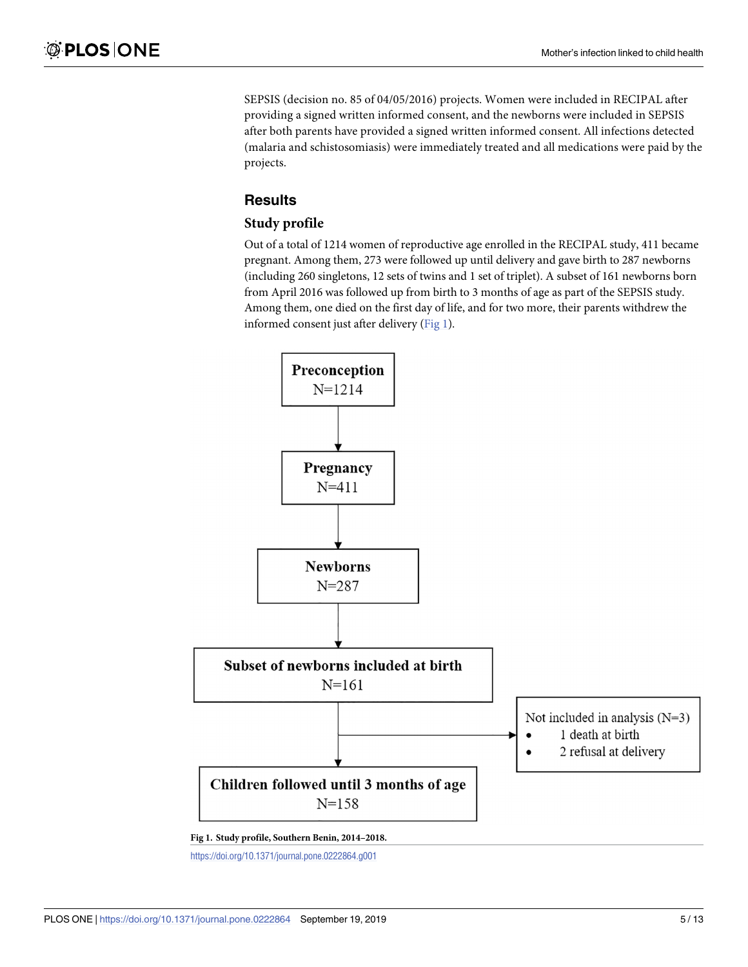SEPSIS (decision no. 85 of 04/05/2016) projects. Women were included in RECIPAL after providing a signed written informed consent, and the newborns were included in SEPSIS after both parents have provided a signed written informed consent. All infections detected (malaria and schistosomiasis) were immediately treated and all medications were paid by the projects.

## **Results**

#### **Study profile**

Out of a total of 1214 women of reproductive age enrolled in the RECIPAL study, 411 became pregnant. Among them, 273 were followed up until delivery and gave birth to 287 newborns (including 260 singletons, 12 sets of twins and 1 set of triplet). A subset of 161 newborns born from April 2016 was followed up from birth to 3 months of age as part of the SEPSIS study. Among them, one died on the first day of life, and for two more, their parents withdrew the informed consent just after delivery (Fig 1).



<https://doi.org/10.1371/journal.pone.0222864.g001>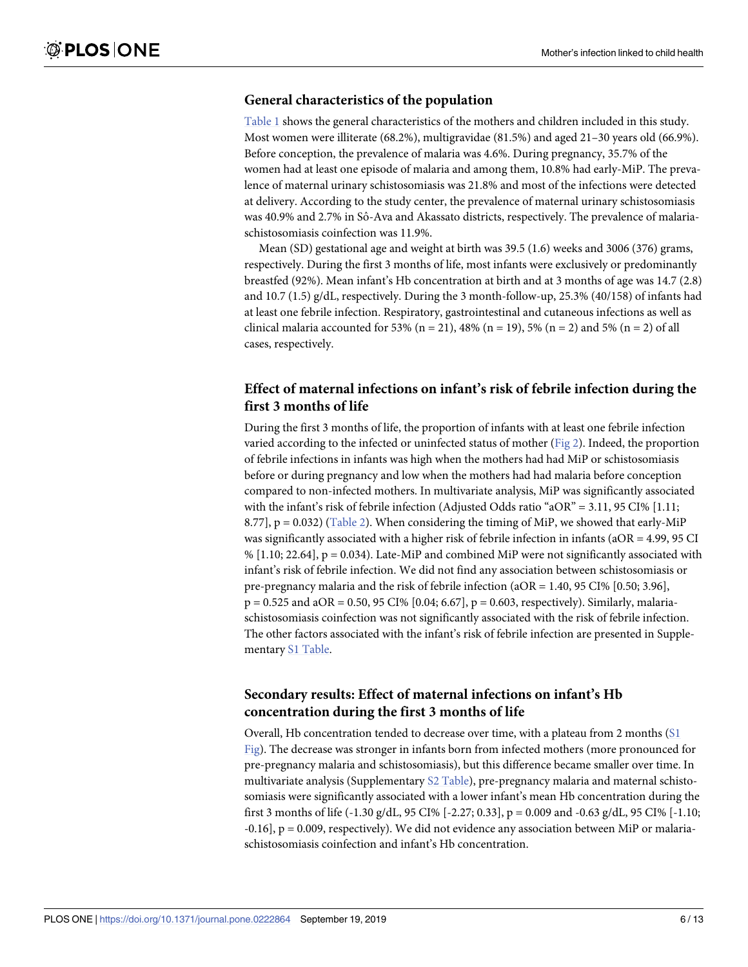#### <span id="page-5-0"></span>**General characteristics of the population**

[Table](#page-6-0) 1 shows the general characteristics of the mothers and children included in this study. Most women were illiterate (68.2%), multigravidae (81.5%) and aged 21–30 years old (66.9%). Before conception, the prevalence of malaria was 4.6%. During pregnancy, 35.7% of the women had at least one episode of malaria and among them, 10.8% had early-MiP. The prevalence of maternal urinary schistosomiasis was 21.8% and most of the infections were detected at delivery. According to the study center, the prevalence of maternal urinary schistosomiasis was 40.9% and 2.7% in Sô-Ava and Akassato districts, respectively. The prevalence of malariaschistosomiasis coinfection was 11.9%.

Mean (SD) gestational age and weight at birth was 39.5 (1.6) weeks and 3006 (376) grams, respectively. During the first 3 months of life, most infants were exclusively or predominantly breastfed (92%). Mean infant's Hb concentration at birth and at 3 months of age was 14.7 (2.8) and 10.7 (1.5) g/dL, respectively. During the 3 month-follow-up, 25.3% (40/158) of infants had at least one febrile infection. Respiratory, gastrointestinal and cutaneous infections as well as clinical malaria accounted for 53% (n = 21), 48% (n = 19), 5% (n = 2) and 5% (n = 2) of all cases, respectively.

#### **Effect of maternal infections on infant's risk of febrile infection during the first 3 months of life**

During the first 3 months of life, the proportion of infants with at least one febrile infection varied according to the infected or uninfected status of mother [\(Fig](#page-7-0) 2). Indeed, the proportion of febrile infections in infants was high when the mothers had had MiP or schistosomiasis before or during pregnancy and low when the mothers had had malaria before conception compared to non-infected mothers. In multivariate analysis, MiP was significantly associated with the infant's risk of febrile infection (Adjusted Odds ratio " $aOR$ " = 3.11, 95 CI% [1.11; 8.77],  $p = 0.032$ ) [\(Table](#page-7-0) 2). When considering the timing of MiP, we showed that early-MiP was significantly associated with a higher risk of febrile infection in infants ( $aOR = 4.99$ ,  $95 CI$  $\%$  [1.10; 22.64], p = 0.034). Late-MiP and combined MiP were not significantly associated with infant's risk of febrile infection. We did not find any association between schistosomiasis or pre-pregnancy malaria and the risk of febrile infection ( $aOR = 1.40$ ,  $95 CI%$  [0.50; 3.96],  $p = 0.525$  and aOR = 0.50, 95 CI% [0.04; 6.67],  $p = 0.603$ , respectively). Similarly, malariaschistosomiasis coinfection was not significantly associated with the risk of febrile infection. The other factors associated with the infant's risk of febrile infection are presented in Supplementary S1 [Table.](#page-9-0)

### **Secondary results: Effect of maternal infections on infant's Hb concentration during the first 3 months of life**

Overall, Hb concentration tended to decrease over time, with a plateau from 2 months ([S1](#page-9-0) [Fig\)](#page-9-0). The decrease was stronger in infants born from infected mothers (more pronounced for pre-pregnancy malaria and schistosomiasis), but this difference became smaller over time. In multivariate analysis (Supplementary S2 [Table\)](#page-9-0), pre-pregnancy malaria and maternal schistosomiasis were significantly associated with a lower infant's mean Hb concentration during the first 3 months of life (-1.30 g/dL, 95 CI% [-2.27; 0.33], p = 0.009 and -0.63 g/dL, 95 CI% [-1.10;  $-0.16$ ],  $p = 0.009$ , respectively). We did not evidence any association between MiP or malariaschistosomiasis coinfection and infant's Hb concentration.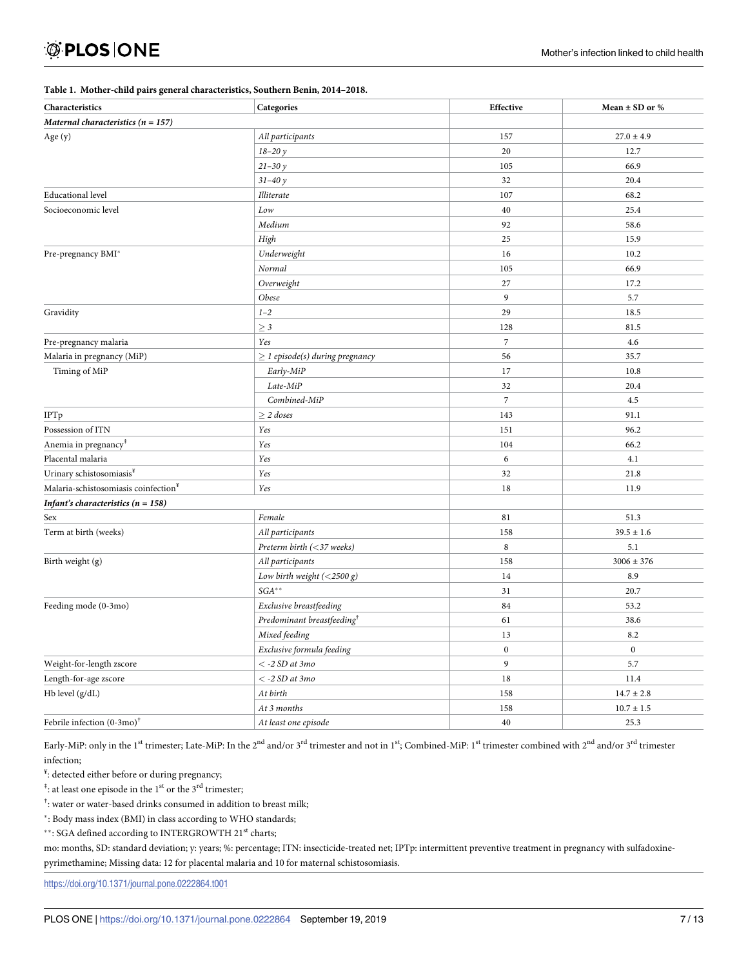#### <span id="page-6-0"></span>**[Table](#page-5-0) 1. Mother-child pairs general characteristics, Southern Benin, 2014–2018.**

| Characteristics                                  | Categories                             | Effective        | Mean $\pm$ SD or % |
|--------------------------------------------------|----------------------------------------|------------------|--------------------|
| Maternal characteristics ( $n = 157$ )           |                                        |                  |                    |
| Age (y)                                          | All participants                       | 157              | $27.0 \pm 4.9$     |
|                                                  | $18 - 20y$                             | 20               | 12.7               |
|                                                  | $21 - 30y$                             | 105              | 66.9               |
|                                                  | $31 - 40y$                             | 32               | 20.4               |
| <b>Educational level</b>                         | Illiterate                             | 107              | 68.2               |
| Socioeconomic level                              | Low                                    | 40               | 25.4               |
|                                                  | Medium                                 | 92               | 58.6               |
|                                                  | High                                   | 25               | 15.9               |
| Pre-pregnancy BMI*                               | Underweight                            | 16               | 10.2               |
|                                                  | Normal                                 | 105              | 66.9               |
|                                                  | Overweight                             | 27               | 17.2               |
|                                                  | Obese                                  | 9                | 5.7                |
| Gravidity                                        | $1 - 2$                                | 29               | 18.5               |
|                                                  | $\geq 3$                               | 128              | 81.5               |
| Pre-pregnancy malaria                            | Yes                                    | $\sqrt{ }$       | 4.6                |
| Malaria in pregnancy (MiP)                       | $\geq$ 1 episode(s) during pregnancy   | 56               | 35.7               |
| Timing of MiP                                    | Early-MiP                              | 17               | 10.8               |
|                                                  | Late-MiP                               | 32               | 20.4               |
|                                                  | Combined-MiP                           | $\overline{7}$   | 4.5                |
| <b>IPTp</b>                                      | $\geq$ 2 doses                         | 143              | 91.1               |
| Possession of ITN                                | Yes                                    | 151              | 96.2               |
| Anemia in pregnancy <sup>#</sup>                 | Yes                                    | 104              | 66.2               |
| Placental malaria                                | Yes                                    | $\sqrt{6}$       | 4.1                |
| Urinary schistosomiasis <sup>¥</sup>             | Yes                                    | 32               | 21.8               |
| Malaria-schistosomiasis coinfection <sup>¥</sup> | Yes                                    | 18               | 11.9               |
| Infant's characteristics $(n = 158)$             |                                        |                  |                    |
| Sex                                              | Female                                 | 81               | 51.3               |
| Term at birth (weeks)                            | All participants                       | 158              | $39.5 \pm 1.6$     |
|                                                  | Preterm birth (<37 weeks)              | $\,8\,$          | 5.1                |
| Birth weight (g)                                 | All participants                       | 158              | $3006 \pm 376$     |
|                                                  | Low birth weight $(<$ 2500 g)          | 14               | 8.9                |
|                                                  | $SGA**$                                | 31               | 20.7               |
| Feeding mode (0-3mo)                             | Exclusive breastfeeding                | 84               | 53.2               |
|                                                  | Predominant breastfeeding <sup>†</sup> | 61               | 38.6               |
|                                                  | Mixed feeding                          | 13               | 8.2                |
|                                                  | Exclusive formula feeding              | $\boldsymbol{0}$ | $\bf{0}$           |
| Weight-for-length zscore                         | $<$ -2 SD at 3mo                       | 9                | 5.7                |
| Length-for-age zscore                            | $<$ -2 SD at $3mo$                     | $18\,$           | 11.4               |
| Hb level (g/dL)                                  | At birth                               | 158              | $14.7 \pm 2.8$     |
|                                                  | At 3 months                            | 158              | $10.7 \pm 1.5$     |
| Febrile infection $(0-3mo)^{\dagger}$            | At least one episode                   | 40               | 25.3               |

Early-MiP: only in the 1<sup>st</sup> trimester; Late-MiP: In the 2<sup>nd</sup> and/or 3<sup>rd</sup> trimester and not in 1<sup>st</sup>; Combined-MiP: 1<sup>st</sup> trimester combined with 2<sup>nd</sup> and/or 3<sup>rd</sup> trimester infection;

<sup>¥</sup>: detected either before or during pregnancy;

<sup>‡</sup>: at least one episode in the 1<sup>st</sup> or the 3<sup>rd</sup> trimester;

† : water or water-based drinks consumed in addition to breast milk;

�: Body mass index (BMI) in class according to WHO standards;

\*\*: SGA defined according to INTERGROWTH 21<sup>st</sup> charts;

mo: months, SD: standard deviation; y: years; %: percentage; ITN: insecticide-treated net; IPTp: intermittent preventive treatment in pregnancy with sulfadoxinepyrimethamine; Missing data: 12 for placental malaria and 10 for maternal schistosomiasis.

<https://doi.org/10.1371/journal.pone.0222864.t001>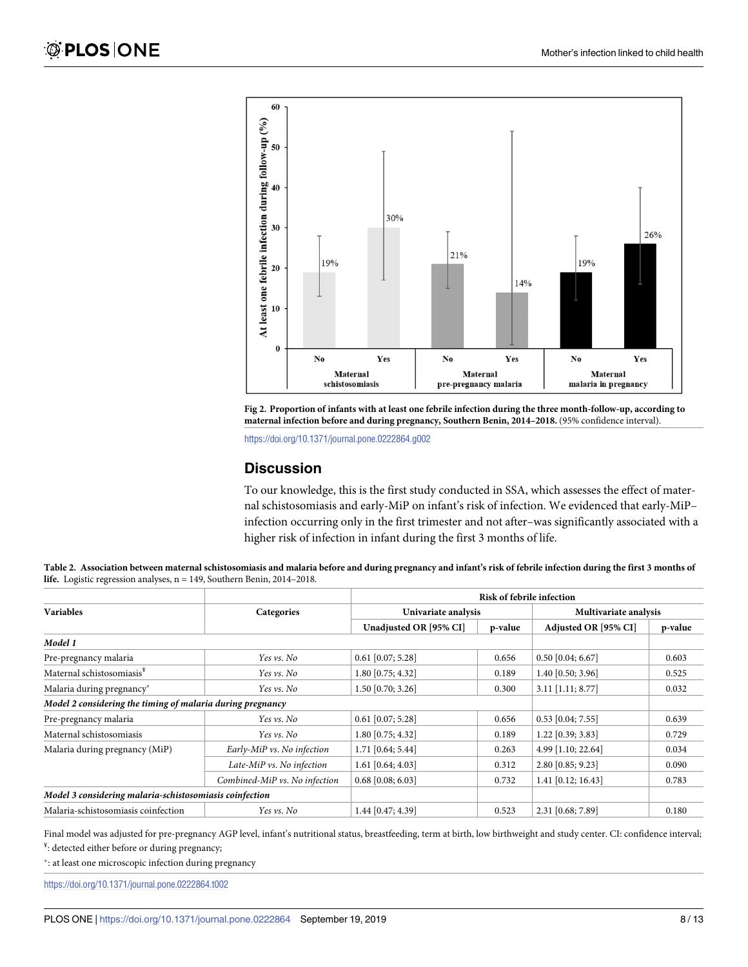<span id="page-7-0"></span>



#### **Discussion**

To our knowledge, this is the first study conducted in SSA, which assesses the effect of maternal schistosomiasis and early-MiP on infant's risk of infection. We evidenced that early-MiP– infection occurring only in the first trimester and not after–was significantly associated with a higher risk of infection in infant during the first 3 months of life.

|                                                                                   |  | Table 2. Association between maternal schistosomiasis and malaria before and during pregnancy and infant's risk of febrile infection during the first 3 months of |
|-----------------------------------------------------------------------------------|--|-------------------------------------------------------------------------------------------------------------------------------------------------------------------|
| <b>life.</b> Logistic regression analyses, $n = 149$ , Southern Benin, 2014–2018. |  |                                                                                                                                                                   |
|                                                                                   |  |                                                                                                                                                                   |

|                                                            |                               | Risk of febrile infection |         |                       |         |  |
|------------------------------------------------------------|-------------------------------|---------------------------|---------|-----------------------|---------|--|
| <b>Variables</b>                                           | Categories                    | Univariate analysis       |         | Multivariate analysis |         |  |
|                                                            |                               | Unadjusted OR [95% CI]    | p-value | Adjusted OR [95% CI]  | p-value |  |
| Model 1                                                    |                               |                           |         |                       |         |  |
| Pre-pregnancy malaria                                      | Yes vs. No                    | $0.61$ [0.07; 5.28]       | 0.656   | $0.50$ [0.04; 6.67]   | 0.603   |  |
| Maternal schistosomiasis <sup>¥</sup>                      | Yes vs. No                    | 1.80 [0.75; 4.32]         | 0.189   | 1.40 [0.50; 3.96]     | 0.525   |  |
| Malaria during pregnancy*                                  | Yes vs. No                    | 1.50 [0.70; 3.26]         | 0.300   | 3.11 [1.11; 8.77]     | 0.032   |  |
| Model 2 considering the timing of malaria during pregnancy |                               |                           |         |                       |         |  |
| Pre-pregnancy malaria                                      | Yes vs. No                    | $0.61$ [0.07; 5.28]       | 0.656   | $0.53$ [0.04; 7.55]   | 0.639   |  |
| Maternal schistosomiasis                                   | Yes vs. No                    | 1.80 [0.75; 4.32]         | 0.189   | 1.22 [0.39; 3.83]     | 0.729   |  |
| Malaria during pregnancy (MiP)                             | Early-MiP vs. No infection    | 1.71 [0.64; 5.44]         | 0.263   | 4.99 [1.10; 22.64]    | 0.034   |  |
|                                                            | Late-MiP vs. No infection     | $1.61$ [0.64; 4.03]       | 0.312   | 2.80 [0.85; 9.23]     | 0.090   |  |
|                                                            | Combined-MiP vs. No infection | $0.68$ [0.08; 6.03]       | 0.732   | $1.41$ [0.12; 16.43]  | 0.783   |  |
| Model 3 considering malaria-schistosomiasis coinfection    |                               |                           |         |                       |         |  |
| Malaria-schistosomiasis coinfection                        | Yes vs. No                    | 1.44 [0.47; 4.39]         | 0.523   | 2.31 [0.68; 7.89]     | 0.180   |  |

Final model was adjusted for pre-pregnancy AGP level, infant's nutritional status, breastfeeding, term at birth, low birthweight and study center. CI: confidence interval; <sup>¥</sup>: detected either before or during pregnancy;

�: at least one microscopic infection during pregnancy

<https://doi.org/10.1371/journal.pone.0222864.t002>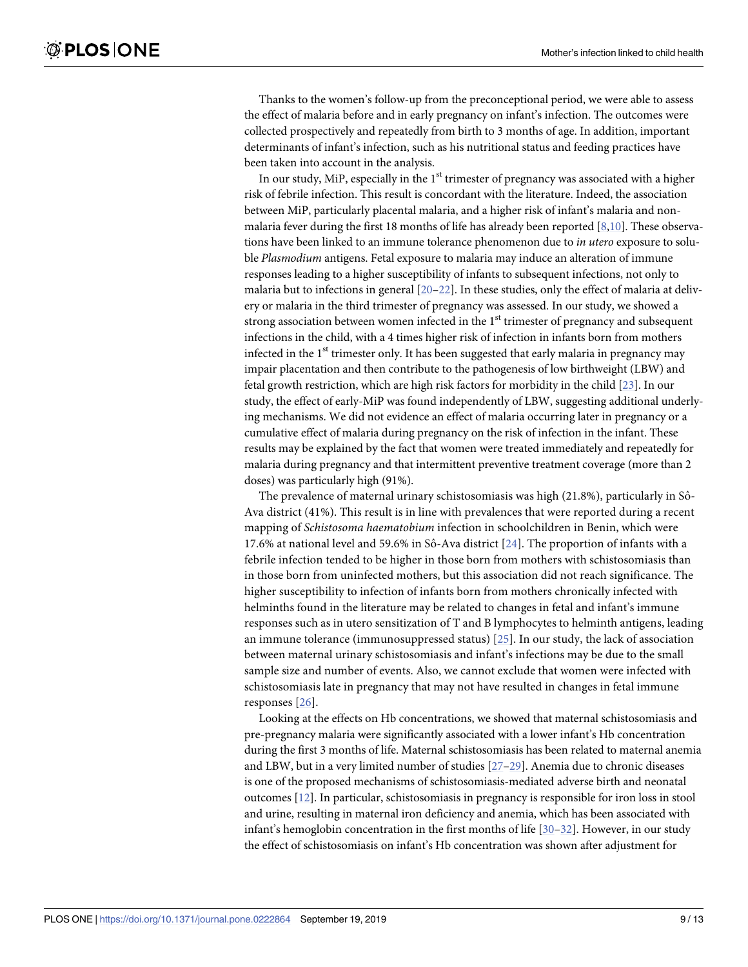<span id="page-8-0"></span>Thanks to the women's follow-up from the preconceptional period, we were able to assess the effect of malaria before and in early pregnancy on infant's infection. The outcomes were collected prospectively and repeatedly from birth to 3 months of age. In addition, important determinants of infant's infection, such as his nutritional status and feeding practices have been taken into account in the analysis.

In our study, MiP, especially in the  $1<sup>st</sup>$  trimester of pregnancy was associated with a higher risk of febrile infection. This result is concordant with the literature. Indeed, the association between MiP, particularly placental malaria, and a higher risk of infant's malaria and nonmalaria fever during the first 18 months of life has already been reported [\[8,](#page-10-0)[10](#page-11-0)]. These observations have been linked to an immune tolerance phenomenon due to *in utero* exposure to soluble *Plasmodium* antigens. Fetal exposure to malaria may induce an alteration of immune responses leading to a higher susceptibility of infants to subsequent infections, not only to malaria but to infections in general [[20–22\]](#page-11-0). In these studies, only the effect of malaria at delivery or malaria in the third trimester of pregnancy was assessed. In our study, we showed a strong association between women infected in the  $1<sup>st</sup>$  trimester of pregnancy and subsequent infections in the child, with a 4 times higher risk of infection in infants born from mothers infected in the  $1<sup>st</sup>$  trimester only. It has been suggested that early malaria in pregnancy may impair placentation and then contribute to the pathogenesis of low birthweight (LBW) and fetal growth restriction, which are high risk factors for morbidity in the child [[23](#page-11-0)]. In our study, the effect of early-MiP was found independently of LBW, suggesting additional underlying mechanisms. We did not evidence an effect of malaria occurring later in pregnancy or a cumulative effect of malaria during pregnancy on the risk of infection in the infant. These results may be explained by the fact that women were treated immediately and repeatedly for malaria during pregnancy and that intermittent preventive treatment coverage (more than 2 doses) was particularly high (91%).

The prevalence of maternal urinary schistosomiasis was high (21.8%), particularly in Sô-Ava district (41%). This result is in line with prevalences that were reported during a recent mapping of *Schistosoma haematobium* infection in schoolchildren in Benin, which were 17.6% at national level and 59.6% in Sô-Ava district [[24\]](#page-11-0). The proportion of infants with a febrile infection tended to be higher in those born from mothers with schistosomiasis than in those born from uninfected mothers, but this association did not reach significance. The higher susceptibility to infection of infants born from mothers chronically infected with helminths found in the literature may be related to changes in fetal and infant's immune responses such as in utero sensitization of T and B lymphocytes to helminth antigens, leading an immune tolerance (immunosuppressed status) [\[25\]](#page-11-0). In our study, the lack of association between maternal urinary schistosomiasis and infant's infections may be due to the small sample size and number of events. Also, we cannot exclude that women were infected with schistosomiasis late in pregnancy that may not have resulted in changes in fetal immune responses [\[26\]](#page-11-0).

Looking at the effects on Hb concentrations, we showed that maternal schistosomiasis and pre-pregnancy malaria were significantly associated with a lower infant's Hb concentration during the first 3 months of life. Maternal schistosomiasis has been related to maternal anemia and LBW, but in a very limited number of studies [[27](#page-11-0)[–29\]](#page-12-0). Anemia due to chronic diseases is one of the proposed mechanisms of schistosomiasis-mediated adverse birth and neonatal outcomes [\[12\]](#page-11-0). In particular, schistosomiasis in pregnancy is responsible for iron loss in stool and urine, resulting in maternal iron deficiency and anemia, which has been associated with infant's hemoglobin concentration in the first months of life [\[30–32\]](#page-12-0). However, in our study the effect of schistosomiasis on infant's Hb concentration was shown after adjustment for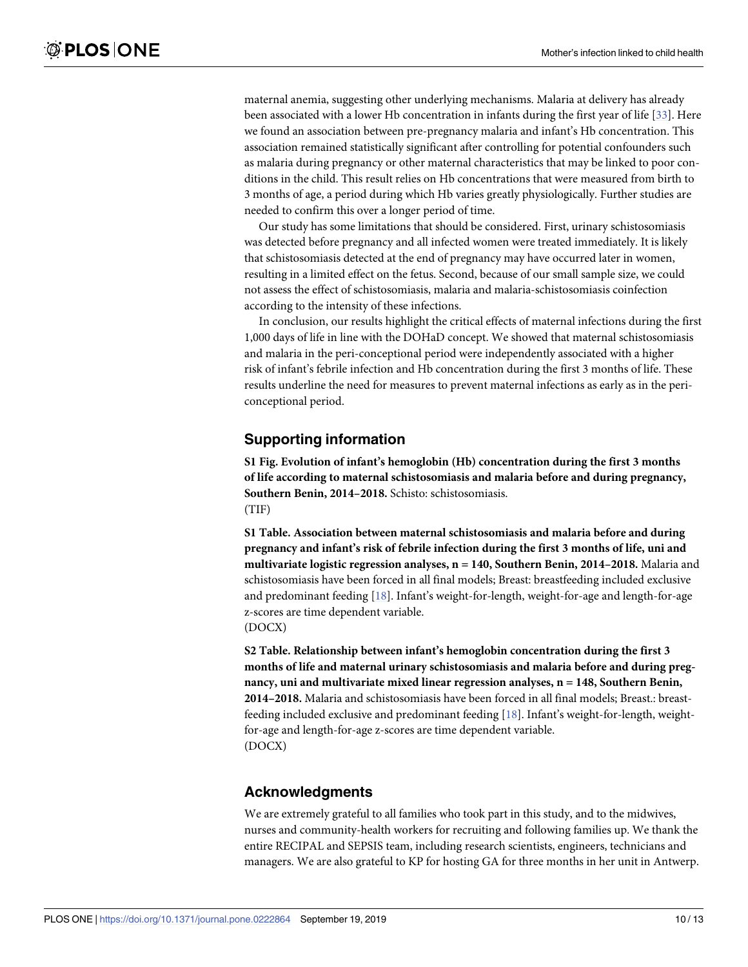<span id="page-9-0"></span>maternal anemia, suggesting other underlying mechanisms. Malaria at delivery has already been associated with a lower Hb concentration in infants during the first year of life [\[33\]](#page-12-0). Here we found an association between pre-pregnancy malaria and infant's Hb concentration. This association remained statistically significant after controlling for potential confounders such as malaria during pregnancy or other maternal characteristics that may be linked to poor conditions in the child. This result relies on Hb concentrations that were measured from birth to 3 months of age, a period during which Hb varies greatly physiologically. Further studies are needed to confirm this over a longer period of time.

Our study has some limitations that should be considered. First, urinary schistosomiasis was detected before pregnancy and all infected women were treated immediately. It is likely that schistosomiasis detected at the end of pregnancy may have occurred later in women, resulting in a limited effect on the fetus. Second, because of our small sample size, we could not assess the effect of schistosomiasis, malaria and malaria-schistosomiasis coinfection according to the intensity of these infections.

In conclusion, our results highlight the critical effects of maternal infections during the first 1,000 days of life in line with the DOHaD concept. We showed that maternal schistosomiasis and malaria in the peri-conceptional period were independently associated with a higher risk of infant's febrile infection and Hb concentration during the first 3 months of life. These results underline the need for measures to prevent maternal infections as early as in the periconceptional period.

## **Supporting information**

**S1 [Fig](http://www.plosone.org/article/fetchSingleRepresentation.action?uri=info:doi/10.1371/journal.pone.0222864.s001). Evolution of infant's hemoglobin (Hb) concentration during the first 3 months of life according to maternal schistosomiasis and malaria before and during pregnancy, Southern Benin, 2014–2018.** Schisto: schistosomiasis. (TIF)

**S1 [Table.](http://www.plosone.org/article/fetchSingleRepresentation.action?uri=info:doi/10.1371/journal.pone.0222864.s002) Association between maternal schistosomiasis and malaria before and during pregnancy and infant's risk of febrile infection during the first 3 months of life, uni and multivariate logistic regression analyses, n = 140, Southern Benin, 2014–2018.** Malaria and schistosomiasis have been forced in all final models; Breast: breastfeeding included exclusive and predominant feeding [\[18\]](#page-11-0). Infant's weight-for-length, weight-for-age and length-for-age z-scores are time dependent variable.

(DOCX)

**S2 [Table.](http://www.plosone.org/article/fetchSingleRepresentation.action?uri=info:doi/10.1371/journal.pone.0222864.s003) Relationship between infant's hemoglobin concentration during the first 3 months of life and maternal urinary schistosomiasis and malaria before and during pregnancy, uni and multivariate mixed linear regression analyses, n = 148, Southern Benin, 2014–2018.** Malaria and schistosomiasis have been forced in all final models; Breast.: breastfeeding included exclusive and predominant feeding [\[18\]](#page-11-0). Infant's weight-for-length, weightfor-age and length-for-age z-scores are time dependent variable. (DOCX)

#### **Acknowledgments**

We are extremely grateful to all families who took part in this study, and to the midwives, nurses and community-health workers for recruiting and following families up. We thank the entire RECIPAL and SEPSIS team, including research scientists, engineers, technicians and managers. We are also grateful to KP for hosting GA for three months in her unit in Antwerp.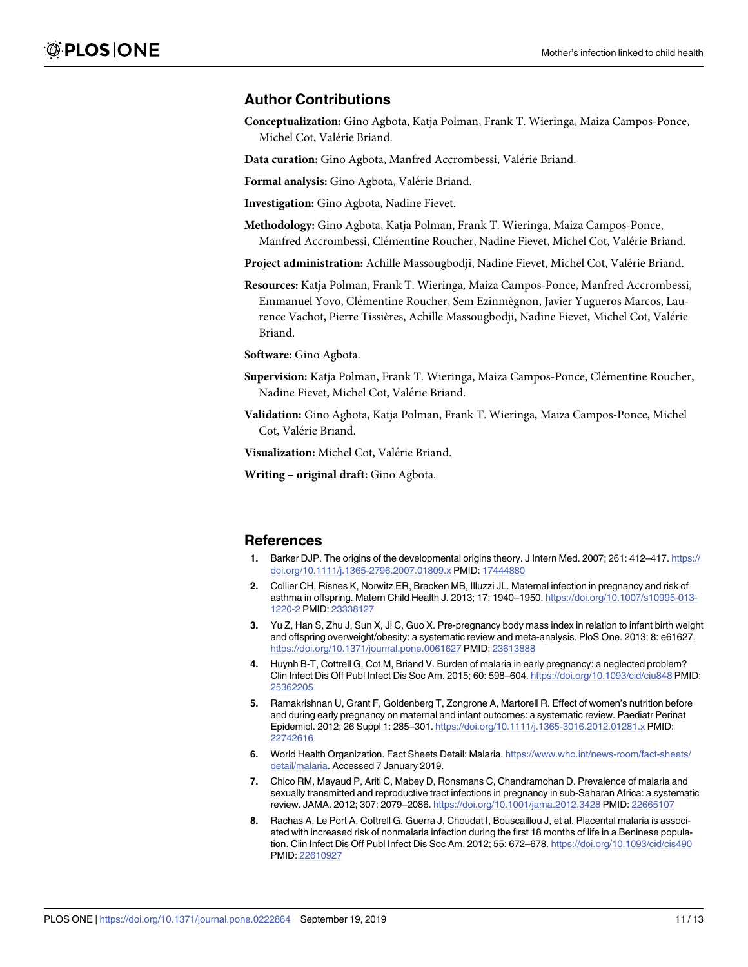#### <span id="page-10-0"></span>**Author Contributions**

- **Conceptualization:** Gino Agbota, Katja Polman, Frank T. Wieringa, Maiza Campos-Ponce, Michel Cot, Valérie Briand.
- **Data curation:** Gino Agbota, Manfred Accrombessi, Valérie Briand.

**Formal analysis:** Gino Agbota, Valérie Briand.

**Investigation:** Gino Agbota, Nadine Fievet.

**Methodology:** Gino Agbota, Katja Polman, Frank T. Wieringa, Maiza Campos-Ponce, Manfred Accrombessi, Clémentine Roucher, Nadine Fievet, Michel Cot, Valérie Briand.

**Project administration:** Achille Massougbodji, Nadine Fievet, Michel Cot, Valérie Briand.

**Resources:** Katja Polman, Frank T. Wieringa, Maiza Campos-Ponce, Manfred Accrombessi, Emmanuel Yovo, Clémentine Roucher, Sem Ezinmègnon, Javier Yugueros Marcos, Laurence Vachot, Pierre Tissières, Achille Massougbodji, Nadine Fievet, Michel Cot, Valérie Briand.

**Software:** Gino Agbota.

- Supervision: Katja Polman, Frank T. Wieringa, Maiza Campos-Ponce, Clémentine Roucher, Nadine Fievet, Michel Cot, Valérie Briand.
- **Validation:** Gino Agbota, Katja Polman, Frank T. Wieringa, Maiza Campos-Ponce, Michel Cot, Valérie Briand.

Visualization: Michel Cot, Valérie Briand.

**Writing – original draft:** Gino Agbota.

#### **References**

- **[1](#page-1-0).** Barker DJP. The origins of the developmental origins theory. J Intern Med. 2007; 261: 412–417. [https://](https://doi.org/10.1111/j.1365-2796.2007.01809.x) [doi.org/10.1111/j.1365-2796.2007.01809.x](https://doi.org/10.1111/j.1365-2796.2007.01809.x) PMID: [17444880](http://www.ncbi.nlm.nih.gov/pubmed/17444880)
- **[2](#page-1-0).** Collier CH, Risnes K, Norwitz ER, Bracken MB, Illuzzi JL. Maternal infection in pregnancy and risk of asthma in offspring. Matern Child Health J. 2013; 17: 1940–1950. [https://doi.org/10.1007/s10995-013-](https://doi.org/10.1007/s10995-013-1220-2) [1220-2](https://doi.org/10.1007/s10995-013-1220-2) PMID: [23338127](http://www.ncbi.nlm.nih.gov/pubmed/23338127)
- **[3](#page-1-0).** Yu Z, Han S, Zhu J, Sun X, Ji C, Guo X. Pre-pregnancy body mass index in relation to infant birth weight and offspring overweight/obesity: a systematic review and meta-analysis. PloS One. 2013; 8: e61627. <https://doi.org/10.1371/journal.pone.0061627> PMID: [23613888](http://www.ncbi.nlm.nih.gov/pubmed/23613888)
- **4.** Huynh B-T, Cottrell G, Cot M, Briand V. Burden of malaria in early pregnancy: a neglected problem? Clin Infect Dis Off Publ Infect Dis Soc Am. 2015; 60: 598–604. <https://doi.org/10.1093/cid/ciu848> PMID: [25362205](http://www.ncbi.nlm.nih.gov/pubmed/25362205)
- **[5](#page-1-0).** Ramakrishnan U, Grant F, Goldenberg T, Zongrone A, Martorell R. Effect of women's nutrition before and during early pregnancy on maternal and infant outcomes: a systematic review. Paediatr Perinat Epidemiol. 2012; 26 Suppl 1: 285–301. <https://doi.org/10.1111/j.1365-3016.2012.01281.x> PMID: [22742616](http://www.ncbi.nlm.nih.gov/pubmed/22742616)
- **[6](#page-1-0).** World Health Organization. Fact Sheets Detail: Malaria. [https://www.who.int/news-room/fact-sheets/](https://www.who.int/news-room/fact-sheets/detail/malaria) [detail/malaria](https://www.who.int/news-room/fact-sheets/detail/malaria). Accessed 7 January 2019.
- **[7](#page-1-0).** Chico RM, Mayaud P, Ariti C, Mabey D, Ronsmans C, Chandramohan D. Prevalence of malaria and sexually transmitted and reproductive tract infections in pregnancy in sub-Saharan Africa: a systematic review. JAMA. 2012; 307: 2079–2086. <https://doi.org/10.1001/jama.2012.3428> PMID: [22665107](http://www.ncbi.nlm.nih.gov/pubmed/22665107)
- **[8](#page-1-0).** Rachas A, Le Port A, Cottrell G, Guerra J, Choudat I, Bouscaillou J, et al. Placental malaria is associated with increased risk of nonmalaria infection during the first 18 months of life in a Beninese population. Clin Infect Dis Off Publ Infect Dis Soc Am. 2012; 55: 672–678. <https://doi.org/10.1093/cid/cis490> PMID: [22610927](http://www.ncbi.nlm.nih.gov/pubmed/22610927)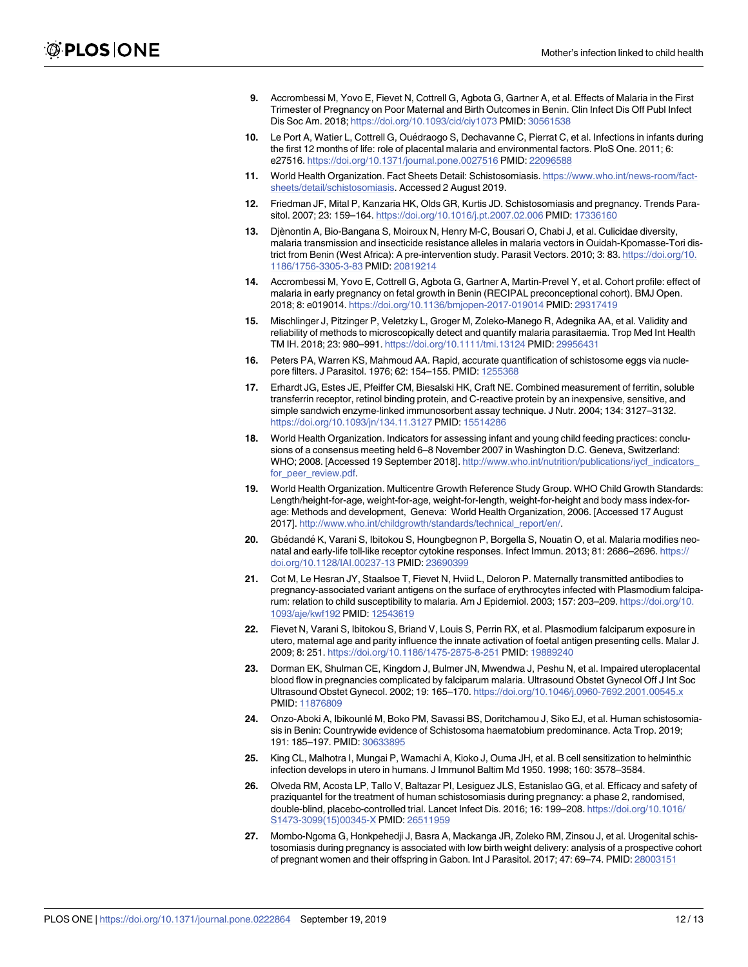- <span id="page-11-0"></span>**9.** Accrombessi M, Yovo E, Fievet N, Cottrell G, Agbota G, Gartner A, et al. Effects of Malaria in the First Trimester of Pregnancy on Poor Maternal and Birth Outcomes in Benin. Clin Infect Dis Off Publ Infect Dis Soc Am. 2018; <https://doi.org/10.1093/cid/ciy1073> PMID: [30561538](http://www.ncbi.nlm.nih.gov/pubmed/30561538)
- **[10](#page-1-0).** Le Port A, Watier L, Cottrell G, Ouédraogo S, Dechavanne C, Pierrat C, et al. Infections in infants during the first 12 months of life: role of placental malaria and environmental factors. PloS One. 2011; 6: e27516. <https://doi.org/10.1371/journal.pone.0027516> PMID: [22096588](http://www.ncbi.nlm.nih.gov/pubmed/22096588)
- **[11](#page-1-0).** World Health Organization. Fact Sheets Detail: Schistosomiasis. [https://www.who.int/news-room/fact](https://www.who.int/news-room/fact-sheets/detail/schistosomiasis)[sheets/detail/schistosomiasis.](https://www.who.int/news-room/fact-sheets/detail/schistosomiasis) Accessed 2 August 2019.
- **[12](#page-1-0).** Friedman JF, Mital P, Kanzaria HK, Olds GR, Kurtis JD. Schistosomiasis and pregnancy. Trends Parasitol. 2007; 23: 159–164. <https://doi.org/10.1016/j.pt.2007.02.006> PMID: [17336160](http://www.ncbi.nlm.nih.gov/pubmed/17336160)
- **[13](#page-1-0).** Djènontin A, Bio-Bangana S, Moiroux N, Henry M-C, Bousari O, Chabi J, et al. Culicidae diversity, malaria transmission and insecticide resistance alleles in malaria vectors in Ouidah-Kpomasse-Tori district from Benin (West Africa): A pre-intervention study. Parasit Vectors. 2010; 3: 83. [https://doi.org/10.](https://doi.org/10.1186/1756-3305-3-83) [1186/1756-3305-3-83](https://doi.org/10.1186/1756-3305-3-83) PMID: [20819214](http://www.ncbi.nlm.nih.gov/pubmed/20819214)
- **[14](#page-2-0).** Accrombessi M, Yovo E, Cottrell G, Agbota G, Gartner A, Martin-Prevel Y, et al. Cohort profile: effect of malaria in early pregnancy on fetal growth in Benin (RECIPAL preconceptional cohort). BMJ Open. 2018; 8: e019014. <https://doi.org/10.1136/bmjopen-2017-019014> PMID: [29317419](http://www.ncbi.nlm.nih.gov/pubmed/29317419)
- **[15](#page-2-0).** Mischlinger J, Pitzinger P, Veletzky L, Groger M, Zoleko-Manego R, Adegnika AA, et al. Validity and reliability of methods to microscopically detect and quantify malaria parasitaemia. Trop Med Int Health TM IH. 2018; 23: 980–991. <https://doi.org/10.1111/tmi.13124> PMID: [29956431](http://www.ncbi.nlm.nih.gov/pubmed/29956431)
- **[16](#page-2-0).** Peters PA, Warren KS, Mahmoud AA. Rapid, accurate quantification of schistosome eggs via nuclepore filters. J Parasitol. 1976; 62: 154–155. PMID: [1255368](http://www.ncbi.nlm.nih.gov/pubmed/1255368)
- **[17](#page-2-0).** Erhardt JG, Estes JE, Pfeiffer CM, Biesalski HK, Craft NE. Combined measurement of ferritin, soluble transferrin receptor, retinol binding protein, and C-reactive protein by an inexpensive, sensitive, and simple sandwich enzyme-linked immunosorbent assay technique. J Nutr. 2004; 134: 3127–3132. <https://doi.org/10.1093/jn/134.11.3127> PMID: [15514286](http://www.ncbi.nlm.nih.gov/pubmed/15514286)
- **[18](#page-3-0).** World Health Organization. Indicators for assessing infant and young child feeding practices: conclusions of a consensus meeting held 6–8 November 2007 in Washington D.C. Geneva, Switzerland: WHO; 2008. [Accessed 19 September 2018]. [http://www.who.int/nutrition/publications/iycf\\_indicators\\_](http://www.who.int/nutrition/publications/iycf_indicators_for_peer_review.pdf) for peer review.pdf.
- **[19](#page-3-0).** World Health Organization. Multicentre Growth Reference Study Group. WHO Child Growth Standards: Length/height-for-age, weight-for-age, weight-for-length, weight-for-height and body mass index-forage: Methods and development, Geneva: World Health Organization, 2006. [Accessed 17 August 2017]. [http://www.who.int/childgrowth/standards/technical\\_report/en/.](http://www.who.int/childgrowth/standards/technical_report/en/)
- **[20](#page-8-0).** Gbédandé K, Varani S, Ibitokou S, Houngbegnon P, Borgella S, Nouatin O, et al. Malaria modifies neonatal and early-life toll-like receptor cytokine responses. Infect Immun. 2013; 81: 2686–2696. [https://](https://doi.org/10.1128/IAI.00237-13) [doi.org/10.1128/IAI.00237-13](https://doi.org/10.1128/IAI.00237-13) PMID: [23690399](http://www.ncbi.nlm.nih.gov/pubmed/23690399)
- **21.** Cot M, Le Hesran JY, Staalsoe T, Fievet N, Hviid L, Deloron P. Maternally transmitted antibodies to pregnancy-associated variant antigens on the surface of erythrocytes infected with Plasmodium falciparum: relation to child susceptibility to malaria. Am J Epidemiol. 2003; 157: 203–209. [https://doi.org/10.](https://doi.org/10.1093/aje/kwf192) [1093/aje/kwf192](https://doi.org/10.1093/aje/kwf192) PMID: [12543619](http://www.ncbi.nlm.nih.gov/pubmed/12543619)
- **[22](#page-8-0).** Fievet N, Varani S, Ibitokou S, Briand V, Louis S, Perrin RX, et al. Plasmodium falciparum exposure in utero, maternal age and parity influence the innate activation of foetal antigen presenting cells. Malar J. 2009; 8: 251. <https://doi.org/10.1186/1475-2875-8-251> PMID: [19889240](http://www.ncbi.nlm.nih.gov/pubmed/19889240)
- **[23](#page-8-0).** Dorman EK, Shulman CE, Kingdom J, Bulmer JN, Mwendwa J, Peshu N, et al. Impaired uteroplacental blood flow in pregnancies complicated by falciparum malaria. Ultrasound Obstet Gynecol Off J Int Soc Ultrasound Obstet Gynecol. 2002; 19: 165–170. <https://doi.org/10.1046/j.0960-7692.2001.00545.x> PMID: [11876809](http://www.ncbi.nlm.nih.gov/pubmed/11876809)
- [24](#page-8-0). Onzo-Aboki A, Ibikounlé M, Boko PM, Savassi BS, Doritchamou J, Siko EJ, et al. Human schistosomiasis in Benin: Countrywide evidence of Schistosoma haematobium predominance. Acta Trop. 2019; 191: 185–197. PMID: [30633895](http://www.ncbi.nlm.nih.gov/pubmed/30633895)
- **[25](#page-8-0).** King CL, Malhotra I, Mungai P, Wamachi A, Kioko J, Ouma JH, et al. B cell sensitization to helminthic infection develops in utero in humans. J Immunol Baltim Md 1950. 1998; 160: 3578–3584.
- **[26](#page-8-0).** Olveda RM, Acosta LP, Tallo V, Baltazar PI, Lesiguez JLS, Estanislao GG, et al. Efficacy and safety of praziquantel for the treatment of human schistosomiasis during pregnancy: a phase 2, randomised, double-blind, placebo-controlled trial. Lancet Infect Dis. 2016; 16: 199–208. [https://doi.org/10.1016/](https://doi.org/10.1016/S1473-3099(15)00345-X) [S1473-3099\(15\)00345-X](https://doi.org/10.1016/S1473-3099(15)00345-X) PMID: [26511959](http://www.ncbi.nlm.nih.gov/pubmed/26511959)
- **[27](#page-8-0).** Mombo-Ngoma G, Honkpehedji J, Basra A, Mackanga JR, Zoleko RM, Zinsou J, et al. Urogenital schistosomiasis during pregnancy is associated with low birth weight delivery: analysis of a prospective cohort of pregnant women and their offspring in Gabon. Int J Parasitol. 2017; 47: 69–74. PMID: [28003151](http://www.ncbi.nlm.nih.gov/pubmed/28003151)